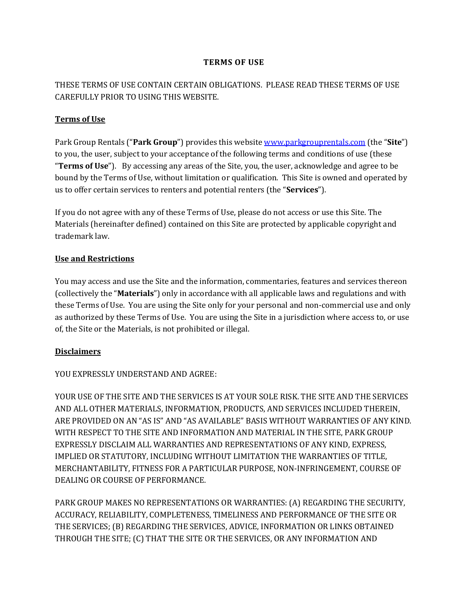## **TERMS OF USE**

# THESE TERMS OF USE CONTAIN CERTAIN OBLIGATIONS. PLEASE READ THESE TERMS OF USE CAREFULLY PRIOR TO USING THIS WEBSITE.

# **Terms of Use**

Park Group Rentals ("**Park Group**") provides this website [www.parkgrouprentals.com](http://www.parkgrouprentals.com/) (the "**Site**") to you, the user, subject to your acceptance of the following terms and conditions of use (these "**Terms of Use**"). By accessing any areas of the Site, you, the user, acknowledge and agree to be bound by the Terms of Use, without limitation or qualification. This Site is owned and operated by us to offer certain services to renters and potential renters (the "**Services**").

If you do not agree with any of these Terms of Use, please do not access or use this Site. The Materials (hereinafter defined) contained on this Site are protected by applicable copyright and trademark law.

## **Use and Restrictions**

You may access and use the Site and the information, commentaries, features and services thereon (collectively the "**Materials**") only in accordance with all applicable laws and regulations and with these Terms of Use. You are using the Site only for your personal and non-commercial use and only as authorized by these Terms of Use. You are using the Site in a jurisdiction where access to, or use of, the Site or the Materials, is not prohibited or illegal.

# **Disclaimers**

# YOU EXPRESSLY UNDERSTAND AND AGREE:

YOUR USE OF THE SITE AND THE SERVICES IS AT YOUR SOLE RISK. THE SITE AND THE SERVICES AND ALL OTHER MATERIALS, INFORMATION, PRODUCTS, AND SERVICES INCLUDED THEREIN, ARE PROVIDED ON AN "AS IS" AND "AS AVAILABLE" BASIS WITHOUT WARRANTIES OF ANY KIND. WITH RESPECT TO THE SITE AND INFORMATION AND MATERIAL IN THE SITE, PARK GROUP EXPRESSLY DISCLAIM ALL WARRANTIES AND REPRESENTATIONS OF ANY KIND, EXPRESS, IMPLIED OR STATUTORY, INCLUDING WITHOUT LIMITATION THE WARRANTIES OF TITLE, MERCHANTABILITY, FITNESS FOR A PARTICULAR PURPOSE, NON-INFRINGEMENT, COURSE OF DEALING OR COURSE OF PERFORMANCE.

PARK GROUP MAKES NO REPRESENTATIONS OR WARRANTIES: (A) REGARDING THE SECURITY, ACCURACY, RELIABILITY, COMPLETENESS, TIMELINESS AND PERFORMANCE OF THE SITE OR THE SERVICES; (B) REGARDING THE SERVICES, ADVICE, INFORMATION OR LINKS OBTAINED THROUGH THE SITE; (C) THAT THE SITE OR THE SERVICES, OR ANY INFORMATION AND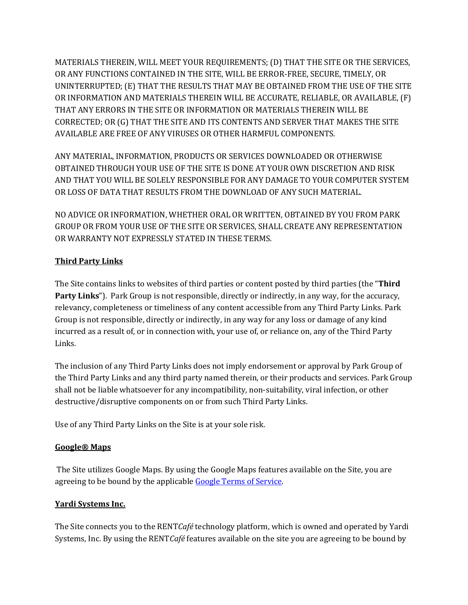MATERIALS THEREIN, WILL MEET YOUR REQUIREMENTS; (D) THAT THE SITE OR THE SERVICES, OR ANY FUNCTIONS CONTAINED IN THE SITE, WILL BE ERROR-FREE, SECURE, TIMELY, OR UNINTERRUPTED; (E) THAT THE RESULTS THAT MAY BE OBTAINED FROM THE USE OF THE SITE OR INFORMATION AND MATERIALS THEREIN WILL BE ACCURATE, RELIABLE, OR AVAILABLE, (F) THAT ANY ERRORS IN THE SITE OR INFORMATION OR MATERIALS THEREIN WILL BE CORRECTED; OR (G) THAT THE SITE AND ITS CONTENTS AND SERVER THAT MAKES THE SITE AVAILABLE ARE FREE OF ANY VIRUSES OR OTHER HARMFUL COMPONENTS.

ANY MATERIAL, INFORMATION, PRODUCTS OR SERVICES DOWNLOADED OR OTHERWISE OBTAINED THROUGH YOUR USE OF THE SITE IS DONE AT YOUR OWN DISCRETION AND RISK AND THAT YOU WILL BE SOLELY RESPONSIBLE FOR ANY DAMAGE TO YOUR COMPUTER SYSTEM OR LOSS OF DATA THAT RESULTS FROM THE DOWNLOAD OF ANY SUCH MATERIAL.

NO ADVICE OR INFORMATION, WHETHER ORAL OR WRITTEN, OBTAINED BY YOU FROM PARK GROUP OR FROM YOUR USE OF THE SITE OR SERVICES, SHALL CREATE ANY REPRESENTATION OR WARRANTY NOT EXPRESSLY STATED IN THESE TERMS.

## **Third Party Links**

The Site contains links to websites of third parties or content posted by third parties (the "**Third Party Links**"). Park Group is not responsible, directly or indirectly, in any way, for the accuracy, relevancy, completeness or timeliness of any content accessible from any Third Party Links. Park Group is not responsible, directly or indirectly, in any way for any loss or damage of any kind incurred as a result of, or in connection with, your use of, or reliance on, any of the Third Party Links.

The inclusion of any Third Party Links does not imply endorsement or approval by Park Group of the Third Party Links and any third party named therein, or their products and services. Park Group shall not be liable whatsoever for any incompatibility, non-suitability, viral infection, or other destructive/disruptive components on or from such Third Party Links.

Use of any Third Party Links on the Site is at your sole risk.

#### **Google® Maps**

The Site utilizes Google Maps. By using the Google Maps features available on the Site, you are agreeing to be bound by the applicable [Google Terms of Service.](https://www.google.com/intl/en-US_US/help/terms_maps/)

## **Yardi Systems Inc.**

The Site connects you to the RENT*Café* technology platform, which is owned and operated by Yardi Systems, Inc. By using the RENT*Café* features available on the site you are agreeing to be bound by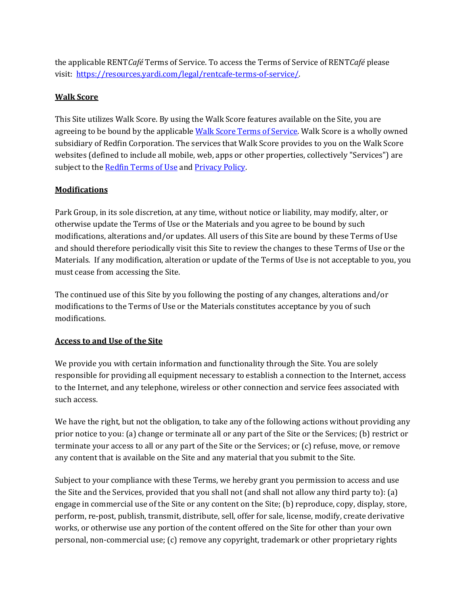the applicable RENT*Café* Terms of Service. To access the Terms of Service of RENT*Café* please visit: [https://resources.yardi.com/legal/rentcafe-terms-of-service/.](https://resources.yardi.com/legal/rentcafe-terms-of-service/)

# **Walk Score**

This Site utilizes Walk Score. By using the Walk Score features available on the Site, you are agreeing to be bound by the applicable [Walk Score Terms of Service.](https://www.walkscore.com/tile-terms-of-use.shtml) Walk Score is a wholly owned subsidiary of Redfin Corporation. The services that Walk Score provides to you on the Walk Score websites (defined to include all mobile, web, apps or other properties, collectively "Services") are subject to the Redfin [Terms of Use](https://www.redfin.com/about/terms-of-use) and [Privacy Policy.](https://www.redfin.com/about/privacy-policy)

## **Modifications**

Park Group, in its sole discretion, at any time, without notice or liability, may modify, alter, or otherwise update the Terms of Use or the Materials and you agree to be bound by such modifications, alterations and/or updates. All users of this Site are bound by these Terms of Use and should therefore periodically visit this Site to review the changes to these Terms of Use or the Materials. If any modification, alteration or update of the Terms of Use is not acceptable to you, you must cease from accessing the Site.

The continued use of this Site by you following the posting of any changes, alterations and/or modifications to the Terms of Use or the Materials constitutes acceptance by you of such modifications.

## **Access to and Use of the Site**

We provide you with certain information and functionality through the Site. You are solely responsible for providing all equipment necessary to establish a connection to the Internet, access to the Internet, and any telephone, wireless or other connection and service fees associated with such access.

We have the right, but not the obligation, to take any of the following actions without providing any prior notice to you: (a) change or terminate all or any part of the Site or the Services; (b) restrict or terminate your access to all or any part of the Site or the Services; or (c) refuse, move, or remove any content that is available on the Site and any material that you submit to the Site.

Subject to your compliance with these Terms, we hereby grant you permission to access and use the Site and the Services, provided that you shall not (and shall not allow any third party to): (a) engage in commercial use of the Site or any content on the Site; (b) reproduce, copy, display, store, perform, re-post, publish, transmit, distribute, sell, offer for sale, license, modify, create derivative works, or otherwise use any portion of the content offered on the Site for other than your own personal, non-commercial use; (c) remove any copyright, trademark or other proprietary rights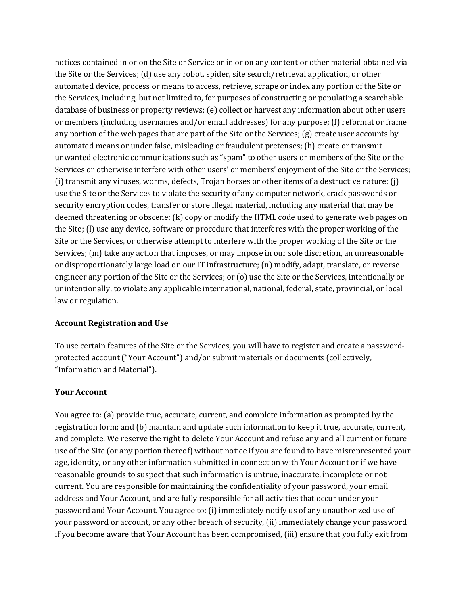notices contained in or on the Site or Service or in or on any content or other material obtained via the Site or the Services; (d) use any robot, spider, site search/retrieval application, or other automated device, process or means to access, retrieve, scrape or index any portion of the Site or the Services, including, but not limited to, for purposes of constructing or populating a searchable database of business or property reviews; (e) collect or harvest any information about other users or members (including usernames and/or email addresses) for any purpose; (f) reformat or frame any portion of the web pages that are part of the Site or the Services; (g) create user accounts by automated means or under false, misleading or fraudulent pretenses; (h) create or transmit unwanted electronic communications such as "spam" to other users or members of the Site or the Services or otherwise interfere with other users' or members' enjoyment of the Site or the Services; (i) transmit any viruses, worms, defects, Trojan horses or other items of a destructive nature; (j) use the Site or the Services to violate the security of any computer network, crack passwords or security encryption codes, transfer or store illegal material, including any material that may be deemed threatening or obscene; (k) copy or modify the HTML code used to generate web pages on the Site; (l) use any device, software or procedure that interferes with the proper working of the Site or the Services, or otherwise attempt to interfere with the proper working of the Site or the Services; (m) take any action that imposes, or may impose in our sole discretion, an unreasonable or disproportionately large load on our IT infrastructure; (n) modify, adapt, translate, or reverse engineer any portion of the Site or the Services; or (o) use the Site or the Services, intentionally or unintentionally, to violate any applicable international, national, federal, state, provincial, or local law or regulation.

## **Account Registration and Use**

To use certain features of the Site or the Services, you will have to register and create a passwordprotected account ("Your Account") and/or submit materials or documents (collectively, "Information and Material").

#### **Your Account**

You agree to: (a) provide true, accurate, current, and complete information as prompted by the registration form; and (b) maintain and update such information to keep it true, accurate, current, and complete. We reserve the right to delete Your Account and refuse any and all current or future use of the Site (or any portion thereof) without notice if you are found to have misrepresented your age, identity, or any other information submitted in connection with Your Account or if we have reasonable grounds to suspect that such information is untrue, inaccurate, incomplete or not current. You are responsible for maintaining the confidentiality of your password, your email address and Your Account, and are fully responsible for all activities that occur under your password and Your Account. You agree to: (i) immediately notify us of any unauthorized use of your password or account, or any other breach of security, (ii) immediately change your password if you become aware that Your Account has been compromised, (iii) ensure that you fully exit from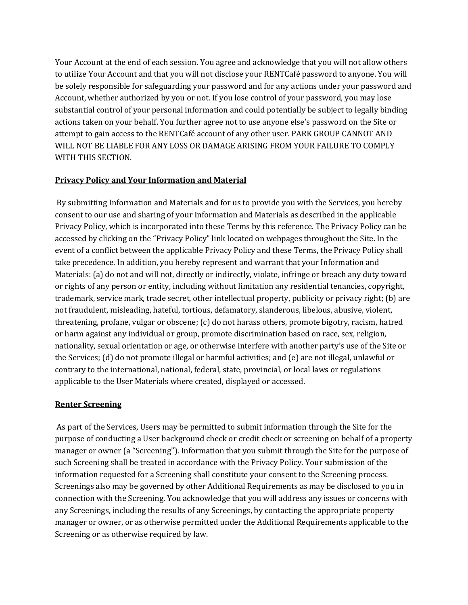Your Account at the end of each session. You agree and acknowledge that you will not allow others to utilize Your Account and that you will not disclose your RENTCafé password to anyone. You will be solely responsible for safeguarding your password and for any actions under your password and Account, whether authorized by you or not. If you lose control of your password, you may lose substantial control of your personal information and could potentially be subject to legally binding actions taken on your behalf. You further agree not to use anyone else's password on the Site or attempt to gain access to the RENTCafé account of any other user. PARK GROUP CANNOT AND WILL NOT BE LIABLE FOR ANY LOSS OR DAMAGE ARISING FROM YOUR FAILURE TO COMPLY WITH THIS SECTION.

## **Privacy Policy and Your Information and Material**

By submitting Information and Materials and for us to provide you with the Services, you hereby consent to our use and sharing of your Information and Materials as described in the applicable Privacy Policy, which is incorporated into these Terms by this reference. The Privacy Policy can be accessed by clicking on the "Privacy Policy" link located on webpages throughout the Site. In the event of a conflict between the applicable Privacy Policy and these Terms, the Privacy Policy shall take precedence. In addition, you hereby represent and warrant that your Information and Materials: (a) do not and will not, directly or indirectly, violate, infringe or breach any duty toward or rights of any person or entity, including without limitation any residential tenancies, copyright, trademark, service mark, trade secret, other intellectual property, publicity or privacy right; (b) are not fraudulent, misleading, hateful, tortious, defamatory, slanderous, libelous, abusive, violent, threatening, profane, vulgar or obscene; (c) do not harass others, promote bigotry, racism, hatred or harm against any individual or group, promote discrimination based on race, sex, religion, nationality, sexual orientation or age, or otherwise interfere with another party's use of the Site or the Services; (d) do not promote illegal or harmful activities; and (e) are not illegal, unlawful or contrary to the international, national, federal, state, provincial, or local laws or regulations applicable to the User Materials where created, displayed or accessed.

#### **Renter Screening**

As part of the Services, Users may be permitted to submit information through the Site for the purpose of conducting a User background check or credit check or screening on behalf of a property manager or owner (a "Screening"). Information that you submit through the Site for the purpose of such Screening shall be treated in accordance with the Privacy Policy. Your submission of the information requested for a Screening shall constitute your consent to the Screening process. Screenings also may be governed by other Additional Requirements as may be disclosed to you in connection with the Screening. You acknowledge that you will address any issues or concerns with any Screenings, including the results of any Screenings, by contacting the appropriate property manager or owner, or as otherwise permitted under the Additional Requirements applicable to the Screening or as otherwise required by law.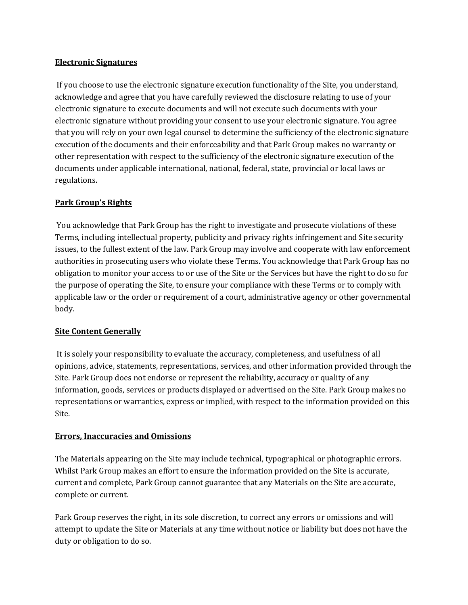### **Electronic Signatures**

If you choose to use the electronic signature execution functionality of the Site, you understand, acknowledge and agree that you have carefully reviewed the disclosure relating to use of your electronic signature to execute documents and will not execute such documents with your electronic signature without providing your consent to use your electronic signature. You agree that you will rely on your own legal counsel to determine the sufficiency of the electronic signature execution of the documents and their enforceability and that Park Group makes no warranty or other representation with respect to the sufficiency of the electronic signature execution of the documents under applicable international, national, federal, state, provincial or local laws or regulations.

### **Park Group's Rights**

You acknowledge that Park Group has the right to investigate and prosecute violations of these Terms, including intellectual property, publicity and privacy rights infringement and Site security issues, to the fullest extent of the law. Park Group may involve and cooperate with law enforcement authorities in prosecuting users who violate these Terms. You acknowledge that Park Group has no obligation to monitor your access to or use of the Site or the Services but have the right to do so for the purpose of operating the Site, to ensure your compliance with these Terms or to comply with applicable law or the order or requirement of a court, administrative agency or other governmental body.

## **Site Content Generally**

It is solely your responsibility to evaluate the accuracy, completeness, and usefulness of all opinions, advice, statements, representations, services, and other information provided through the Site. Park Group does not endorse or represent the reliability, accuracy or quality of any information, goods, services or products displayed or advertised on the Site. Park Group makes no representations or warranties, express or implied, with respect to the information provided on this Site.

#### **Errors, Inaccuracies and Omissions**

The Materials appearing on the Site may include technical, typographical or photographic errors. Whilst Park Group makes an effort to ensure the information provided on the Site is accurate, current and complete, Park Group cannot guarantee that any Materials on the Site are accurate, complete or current.

Park Group reserves the right, in its sole discretion, to correct any errors or omissions and will attempt to update the Site or Materials at any time without notice or liability but does not have the duty or obligation to do so.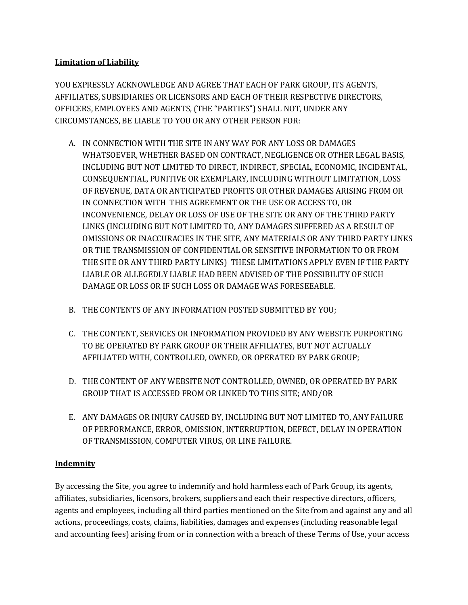# **Limitation of Liability**

YOU EXPRESSLY ACKNOWLEDGE AND AGREE THAT EACH OF PARK GROUP, ITS AGENTS, AFFILIATES, SUBSIDIARIES OR LICENSORS AND EACH OF THEIR RESPECTIVE DIRECTORS, OFFICERS, EMPLOYEES AND AGENTS, (THE "PARTIES") SHALL NOT, UNDER ANY CIRCUMSTANCES, BE LIABLE TO YOU OR ANY OTHER PERSON FOR:

- A. IN CONNECTION WITH THE SITE IN ANY WAY FOR ANY LOSS OR DAMAGES WHATSOEVER, WHETHER BASED ON CONTRACT, NEGLIGENCE OR OTHER LEGAL BASIS, INCLUDING BUT NOT LIMITED TO DIRECT, INDIRECT, SPECIAL, ECONOMIC, INCIDENTAL, CONSEQUENTIAL, PUNITIVE OR EXEMPLARY, INCLUDING WITHOUT LIMITATION, LOSS OF REVENUE, DATA OR ANTICIPATED PROFITS OR OTHER DAMAGES ARISING FROM OR IN CONNECTION WITH THIS AGREEMENT OR THE USE OR ACCESS TO, OR INCONVENIENCE, DELAY OR LOSS OF USE OF THE SITE OR ANY OF THE THIRD PARTY LINKS (INCLUDING BUT NOT LIMITED TO, ANY DAMAGES SUFFERED AS A RESULT OF OMISSIONS OR INACCURACIES IN THE SITE, ANY MATERIALS OR ANY THIRD PARTY LINKS OR THE TRANSMISSION OF CONFIDENTIAL OR SENSITIVE INFORMATION TO OR FROM THE SITE OR ANY THIRD PARTY LINKS) THESE LIMITATIONS APPLY EVEN IF THE PARTY LIABLE OR ALLEGEDLY LIABLE HAD BEEN ADVISED OF THE POSSIBILITY OF SUCH DAMAGE OR LOSS OR IF SUCH LOSS OR DAMAGE WAS FORESEEABLE.
- B. THE CONTENTS OF ANY INFORMATION POSTED SUBMITTED BY YOU;
- C. THE CONTENT, SERVICES OR INFORMATION PROVIDED BY ANY WEBSITE PURPORTING TO BE OPERATED BY PARK GROUP OR THEIR AFFILIATES, BUT NOT ACTUALLY AFFILIATED WITH, CONTROLLED, OWNED, OR OPERATED BY PARK GROUP;
- D. THE CONTENT OF ANY WEBSITE NOT CONTROLLED, OWNED, OR OPERATED BY PARK GROUP THAT IS ACCESSED FROM OR LINKED TO THIS SITE; AND/OR
- E. ANY DAMAGES OR INJURY CAUSED BY, INCLUDING BUT NOT LIMITED TO, ANY FAILURE OF PERFORMANCE, ERROR, OMISSION, INTERRUPTION, DEFECT, DELAY IN OPERATION OF TRANSMISSION, COMPUTER VIRUS, OR LINE FAILURE.

## **Indemnity**

By accessing the Site, you agree to indemnify and hold harmless each of Park Group, its agents, affiliates, subsidiaries, licensors, brokers, suppliers and each their respective directors, officers, agents and employees, including all third parties mentioned on the Site from and against any and all actions, proceedings, costs, claims, liabilities, damages and expenses (including reasonable legal and accounting fees) arising from or in connection with a breach of these Terms of Use, your access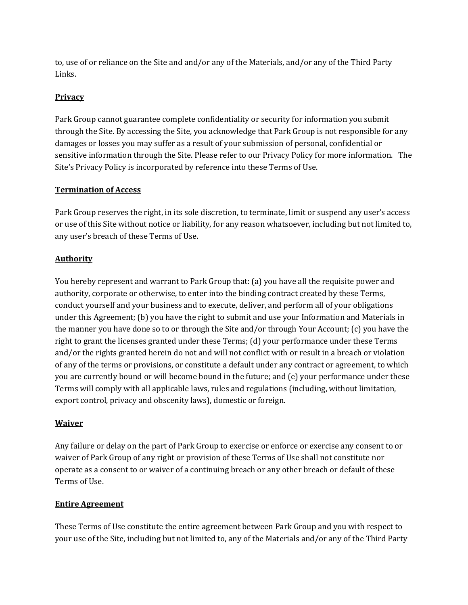to, use of or reliance on the Site and and/or any of the Materials, and/or any of the Third Party Links.

## **Privacy**

Park Group cannot guarantee complete confidentiality or security for information you submit through the Site. By accessing the Site, you acknowledge that Park Group is not responsible for any damages or losses you may suffer as a result of your submission of personal, confidential or sensitive information through the Site. Please refer to our Privacy Policy for more information. The Site's Privacy Policy is incorporated by reference into these Terms of Use.

## **Termination of Access**

Park Group reserves the right, in its sole discretion, to terminate, limit or suspend any user's access or use of this Site without notice or liability, for any reason whatsoever, including but not limited to, any user's breach of these Terms of Use.

# **Authority**

You hereby represent and warrant to Park Group that: (a) you have all the requisite power and authority, corporate or otherwise, to enter into the binding contract created by these Terms, conduct yourself and your business and to execute, deliver, and perform all of your obligations under this Agreement; (b) you have the right to submit and use your Information and Materials in the manner you have done so to or through the Site and/or through Your Account; (c) you have the right to grant the licenses granted under these Terms; (d) your performance under these Terms and/or the rights granted herein do not and will not conflict with or result in a breach or violation of any of the terms or provisions, or constitute a default under any contract or agreement, to which you are currently bound or will become bound in the future; and (e) your performance under these Terms will comply with all applicable laws, rules and regulations (including, without limitation, export control, privacy and obscenity laws), domestic or foreign.

## **Waiver**

Any failure or delay on the part of Park Group to exercise or enforce or exercise any consent to or waiver of Park Group of any right or provision of these Terms of Use shall not constitute nor operate as a consent to or waiver of a continuing breach or any other breach or default of these Terms of Use.

## **Entire Agreement**

These Terms of Use constitute the entire agreement between Park Group and you with respect to your use of the Site, including but not limited to, any of the Materials and/or any of the Third Party